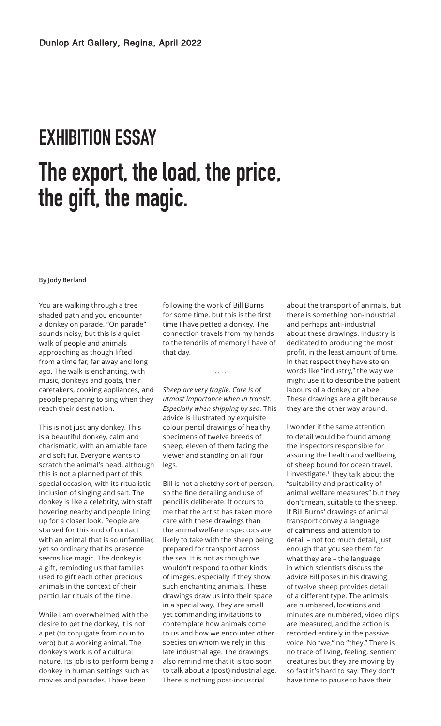## **EXHIBITION ESSAY The export, the load, the price, the gift, the magic.**

## **By Jody Berland**

You are walking through a tree shaded path and you encounter a donkey on parade. "On parade" sounds noisy, but this is a quiet walk of people and animals approaching as though lifted from a time far, far away and long ago. The walk is enchanting, with music, donkeys and goats, their caretakers, cooking appliances, and people preparing to sing when they reach their destination.

This is not just any donkey. This is a beautiful donkey, calm and charismatic, with an amiable face and soft fur. Everyone wants to scratch the animal's head, although this is not a planned part of this special occasion, with its ritualistic inclusion of singing and salt. The donkey is like a celebrity, with staff hovering nearby and people lining up for a closer look. People are starved for this kind of contact with an animal that is so unfamiliar, yet so ordinary that its presence seems like magic. The donkey is a gift, reminding us that families used to gift each other precious animals in the context of their particular rituals of the time.

While I am overwhelmed with the desire to pet the donkey, it is not a pet (to conjugate from noun to verb) but a working animal. The donkey's work is of a cultural nature. Its job is to perform being a donkey in human settings such as movies and parades. I have been

following the work of Bill Burns for some time, but this is the first time I have petted a donkey. The connection travels from my hands to the tendrils of memory I have of that day.

....

*Sheep are very fragile. Care is of utmost importance when in transit. Especially when shipping by sea.* This advice is illustrated by exquisite colour pencil drawings of healthy specimens of twelve breeds of sheep, eleven of them facing the viewer and standing on all four legs.

Bill is not a sketchy sort of person, so the fine detailing and use of pencil is deliberate. It occurs to me that the artist has taken more care with these drawings than the animal welfare inspectors are likely to take with the sheep being prepared for transport across the sea. It is not as though we wouldn't respond to other kinds of images, especially if they show such enchanting animals. These drawings draw us into their space in a special way. They are small yet commanding invitations to contemplate how animals come to us and how we encounter other species on whom we rely in this late industrial age. The drawings also remind me that it is too soon to talk about a (post)industrial age. There is nothing post-industrial

about the transport of animals, but there is something non-industrial and perhaps anti-industrial about these drawings. Industry is dedicated to producing the most profit, in the least amount of time. In that respect they have stolen words like "industry," the way we might use it to describe the patient labours of a donkey or a bee. These drawings are a gift because they are the other way around.

I wonder if the same attention to detail would be found among the inspectors responsible for assuring the health and wellbeing of sheep bound for ocean travel. I investigate.<sup>1</sup> They talk about the "suitability and practicality of animal welfare measures" but they don't mean, suitable to the sheep. If Bill Burns' drawings of animal transport convey a language of calmness and attention to detail – not too much detail, just enough that you see them for what they are – the language in which scientists discuss the advice Bill poses in his drawing of twelve sheep provides detail of a different type. The animals are numbered, locations and minutes are numbered, video clips are measured, and the action is recorded entirely in the passive voice. No "we," no "they." There is no trace of living, feeling, sentient creatures but they are moving by so fast it's hard to say. They don't have time to pause to have their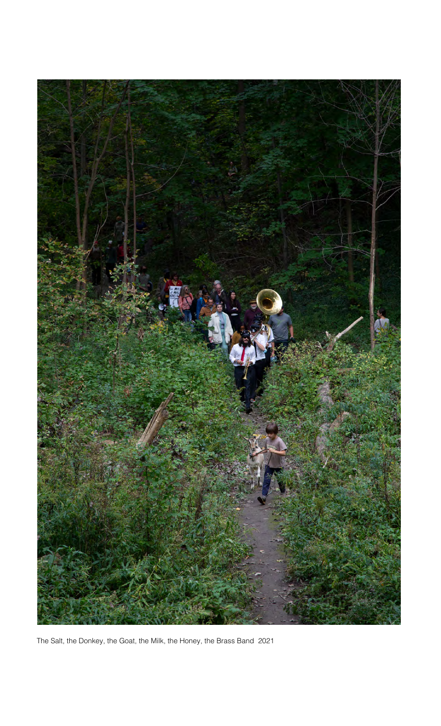

The Salt, the Donkey, the Goat, the Milk, the Honey, the Brass Band 2021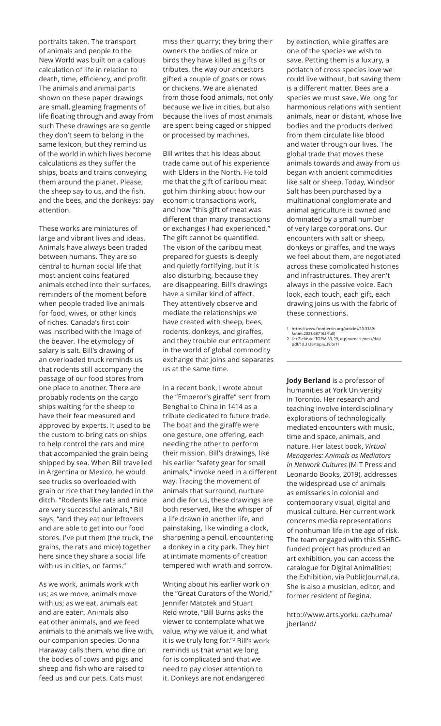portraits taken. The transport of animals and people to the New World was built on a callous calculation of life in relation to death, time, efficiency, and profit. The animals and animal parts shown on these paper drawings are small, gleaming fragments of life floating through and away from such These drawings are so gentle they don't seem to belong in the same lexicon, but they remind us of the world in which lives become calculations as they suffer the ships, boats and trains conveying them around the planet. Please, the sheep say to us, and the fish, and the bees, and the donkeys: pay attention.

These works are miniatures of large and vibrant lives and ideas. Animals have always been traded between humans. They are so central to human social life that most ancient coins featured animals etched into their surfaces, reminders of the moment before when people traded live animals for food, wives, or other kinds of riches. Canada's first coin was inscribed with the image of the beaver. The etymology of salary is salt. Bill's drawing of an overloaded truck reminds us that rodents still accompany the passage of our food stores from one place to another. There are probably rodents on the cargo ships waiting for the sheep to have their fear measured and approved by experts. It used to be the custom to bring cats on ships to help control the rats and mice that accompanied the grain being shipped by sea. When Bill travelled in Argentina or Mexico, he would see trucks so overloaded with grain or rice that they landed in the ditch. "Rodents like rats and mice are very successful animals," Bill says, "and they eat our leftovers and are able to get into our food stores. I've put them (the truck, the grains, the rats and mice) together here since they share a social life with us in cities, on farms."

As we work, animals work with us; as we move, animals move with us; as we eat, animals eat and are eaten. Animals also eat other animals, and we feed animals to the animals we live with, our companion species, Donna Haraway calls them, who dine on the bodies of cows and pigs and sheep and fish who are raised to feed us and our pets. Cats must

miss their quarry; they bring their owners the bodies of mice or birds they have killed as gifts or tributes, the way our ancestors gifted a couple of goats or cows or chickens. We are alienated from those food animals, not only because we live in cities, but also because the lives of most animals are spent being caged or shipped or processed by machines.

Bill writes that his ideas about trade came out of his experience with Elders in the North. He told me that the gift of caribou meat got him thinking about how our economic transactions work, and how "this gift of meat was different than many transactions or exchanges I had experienced." The gift cannot be quantified. The vision of the caribou meat prepared for guests is deeply and quietly fortifying, but it is also disturbing, because they are disappearing. Bill's drawings have a similar kind of affect. They attentively observe and mediate the relationships we have created with sheep, bees, rodents, donkeys, and giraffes, and they trouble our entrapment in the world of global commodity exchange that joins and separates us at the same time.

In a recent book, I wrote about the "Emperor's giraffe" sent from Benghal to China in 1414 as a tribute dedicated to future trade. The boat and the giraffe were one gesture, one offering, each needing the other to perform their mission. Bill's drawings, like his earlier "safety gear for small animals," invoke need in a different way. Tracing the movement of animals that surround, nurture and die for us, these drawings are both reserved, like the whisper of a life drawn in another life, and painstaking, like winding a clock, sharpening a pencil, encountering a donkey in a city park. They hint at intimate moments of creation tempered with wrath and sorrow.

Writing about his earlier work on the "Great Curators of the World," Jennifer Matotek and Stuart Reid wrote, "Bill Burns asks the viewer to contemplate what we value, why we value it, and what it is we truly long for."<sup>2</sup> Bill's work reminds us that what we long for is complicated and that we need to pay closer attention to it. Donkeys are not endangered

by extinction, while giraffes are one of the species we wish to save. Petting them is a luxury, a potlatch of cross species love we could live without, but saving them is a different matter. Bees are a species we must save. We long for harmonious relations with sentient animals, near or distant, whose live bodies and the products derived from them circulate like blood and water through our lives. The global trade that moves these animals towards and away from us began with ancient commodities like salt or sheep. Today, Windsor Salt has been purchased by a multinational conglomerate and animal agriculture is owned and dominated by a small number of very large corporations. Our encounters with salt or sheep, donkeys or giraffes, and the ways we feel about them, are negotiated across these complicated histories and infrastructures. They aren't always in the passive voice. Each look, each touch, each gift, each drawing joins us with the fabric of these connections.

1 https://www.frontiersin.org/articles/10.3389/

**Jody Berland** is a professor of humanities at York University in Toronto. Her research and teaching involve interdisciplinary explorations of technologically mediated encounters with music, time and space, animals, and nature. Her latest book, *Virtual Menageries: Animals as Mediators in Network Cultures* (MIT Press and Leonardo Books, 2019), addresses the widespread use of animals as emissaries in colonial and contemporary visual, digital and musical culture. Her current work concerns media representations of nonhuman life in the age of risk. The team engaged with this SSHRCfunded project has produced an art exhibition, you can access the catalogue for Digital Animalities: the Exhibition, via PublicJournal.ca. She is also a musician, editor, and former resident of Regina.

http://www.arts.yorku.ca/huma/ jberland/

fanim.2021.687162/full] 2 Jer Zielinski, TOPIA 39, 29, utpjournals.press/doi/ pdf/10.3138/topia.39.br11